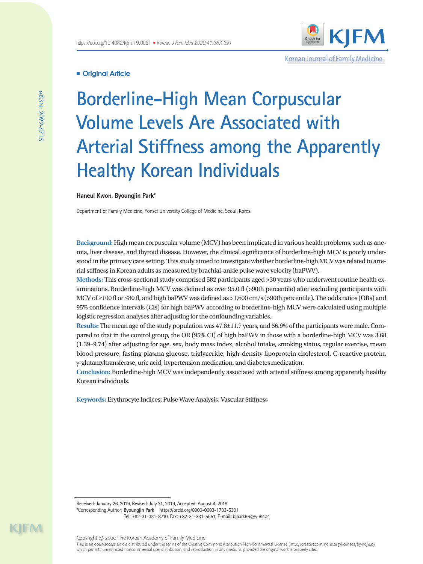Korean Journal of Family Medicine

## **Original Article**

# **Borderline-High Mean Corpuscular Volume Levels Are Associated with Arterial Stiffness among the Apparently Healthy Korean Individuals**

## **Haneul Kwon, Byoungjin Park\***

Department of Family Medicine, Yonsei University College of Medicine, Seoul, Korea

**Background:** High mean corpuscular volume (MCV) has been implicated in various health problems, such as anemia, liver disease, and thyroid disease. However, the clinical significance of borderline-high MCV is poorly understood in the primary care setting. This study aimed to investigate whether borderline-high MCV was related to arterial stiffness in Korean adults as measured by brachial-ankle pulse wave velocity (baPWV).

**Methods:** This cross-sectional study comprised 582 participants aged >30 years who underwent routine health examinations. Borderline-high MCV was defined as over 95.0 fl (>90th percentile) after excluding participants with MCV of ≥100 fl or ≤80 fl, and high baPWV was defined as >1,600 cm/s (>90th percentile). The odds ratios (ORs) and 95% confidence intervals (CIs) for high baPWV according to borderline-high MCV were calculated using multiple logistic regression analyses after adjusting for the confounding variables.

**Results:** The mean age of the study population was 47.8±11.7 years, and 56.9% of the participants were male. Compared to that in the control group, the OR (95% CI) of high baPWV in those with a borderline-high MCV was 3.68 (1.39–9.74) after adjusting for age, sex, body mass index, alcohol intake, smoking status, regular exercise, mean blood pressure, fasting plasma glucose, triglyceride, high-density lipoprotein cholesterol, C-reactive protein, γ-glutamyltransferase, uric acid, hypertension medication, and diabetes medication.

**Conclusion:** Borderline-high MCV was independently associated with arterial stiffness among apparently healthy Korean individuals.

**Keywords:** Erythrocyte Indices; Pulse Wave Analysis; Vascular Stiffness

Received: January 26, 2019, Revised: July 31, 2019, Accepted: August 4, 2019 \*Corresponding Author: **Byoungjin Park** https://orcid.org/0000-0003-1733-5301 Tel: +82-31-331-8710, Fax: +82-31-331-5551, E-mail: bjpark96@yuhs.ac

eISSN: 2092-6715

elSSN: 2092-6715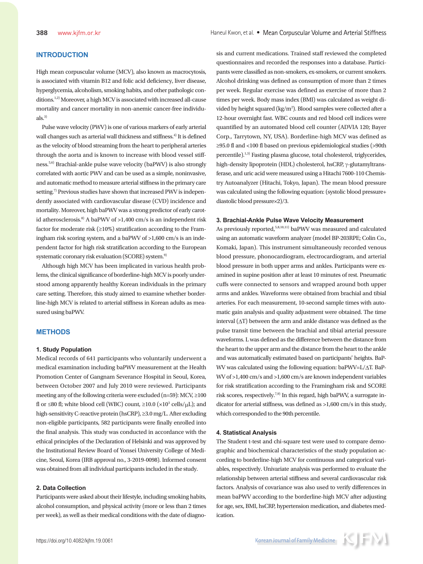# **INTRODUCTION**

High mean corpuscular volume (MCV), also known as macrocytosis, is associated with vitamin B12 and folic acid deficiency, liver disease, hyperglycemia, alcoholism, smoking habits, and other pathologic conditions.1,2) Moreover, a high MCV is associated with increased all-cause mortality and cancer mortality in non-anemic cancer-free individu $a\vert s^{3}$ 

Pulse wave velocity (PWV) is one of various markers of early arterial wall changes such as arterial wall thickness and stiffness.<sup>4)</sup> It is defined as the velocity of blood streaming from the heart to peripheral arteries through the aorta and is known to increase with blood vessel stiffness.5,6) Brachial-ankle pulse wave velocity (baPWV) is also strongly correlated with aortic PWV and can be used as a simple, noninvasive, and automatic method to measure arterial stiffness in the primary care setting.<sup>7)</sup> Previous studies have shown that increased PWV is independently associated with cardiovascular disease (CVD) incidence and mortality. Moreover, high baPWV was a strong predictor of early carotid atherosclerosis.<sup>8)</sup> A baPWV of  $>1,400$  cm/s is an independent risk factor for moderate risk  $(\geq 10\%)$  stratification according to the Framingham risk scoring system, and a baPWV of >1,600 cm/s is an independent factor for high risk stratification according to the European systematic coronary risk evaluation (SCORE) system.<sup>9)</sup>

Although high MCV has been implicated in various health problems, the clinical significance of borderline-high MCV is poorly understood among apparently healthy Korean individuals in the primary care setting. Therefore, this study aimed to examine whether borderline-high MCV is related to arterial stiffness in Korean adults as measured using baPWV.

## **METHODS**

#### **1. Study Population**

Medical records of 641 participants who voluntarily underwent a medical examination including baPWV measurement at the Health Promotion Center of Gangnam Severance Hospital in Seoul, Korea, between October 2007 and July 2010 were reviewed. Participants meeting any of the following criteria were excluded (n=59): MCV, ≥100 fl or ≤80 fl; white blood cell (WBC) count,  $\geq 10.0$  ( $\times 10^3$  cells/ $\mu$ L); and high-sensitivity C-reactive protein (hsCRP), ≥3.0 mg/L. After excluding non-eligible participants, 582 participants were finally enrolled into the final analysis. This study was conducted in accordance with the ethical principles of the Declaration of Helsinki and was approved by the Institutional Review Board of Yonsei University College of Medicine, Seoul, Korea (IRB approval no., 3-2019-0098). Informed consent was obtained from all individual participants included in the study.

## **2. Data Collection**

Participants were asked about their lifestyle, including smoking habits, alcohol consumption, and physical activity (more or less than 2 times per week), as well as their medical conditions with the date of diagnosis and current medications. Trained staff reviewed the completed questionnaires and recorded the responses into a database. Participants were classified as non-smokers, ex-smokers, or current smokers. Alcohol drinking was defined as consumption of more than 2 times per week. Regular exercise was defined as exercise of more than 2 times per week. Body mass index (BMI) was calculated as weight divided by height squared  $\frac{\text{kg}}{m^2}$ . Blood samples were collected after a 12-hour overnight fast. WBC counts and red blood cell indices were quantified by an automated blood cell counter (ADVIA 120; Bayer Corp., Tarrytown, NY, USA). Borderline-high MCV was defined as ≥95.0 fl and <100 fl based on previous epidemiological studies (>90th percentile).<sup>1,3)</sup> Fasting plasma glucose, total cholesterol, triglycerides, high-density lipoprotein (HDL) cholesterol, hsCRP, γ-glutamyltransferase, and uric acid were measured using a Hitachi 7600-110 Chemistry Autoanalyzer (Hitachi, Tokyo, Japan). The mean blood pressure was calculated using the following equation: (systolic blood pressure+ diastolic blood pressure×2)/3.

#### **3. Brachial-Ankle Pulse Wave Velocity Measurement**

As previously reported,<sup>5,8,10,11)</sup> baPWV was measured and calculated using an automatic waveform analyzer (model BP-203RPE; Colin Co., Komaki, Japan). This instrument simultaneously recorded venous blood pressure, phonocardiogram, electrocardiogram, and arterial blood pressure in both upper arms and ankles. Participants were examined in supine position after at least 10 minutes of rest. Pneumatic cuffs were connected to sensors and wrapped around both upper arms and ankles. Waveforms were obtained from brachial and tibial arteries. For each measurement, 10-second sample times with automatic gain analysis and quality adjustment were obtained. The time interval  $(\Delta T)$  between the arm and ankle distance was defined as the pulse transit time between the brachial and tibial arterial pressure waveforms. L was defined as the difference between the distance from the heart to the upper arm and the distance from the heart to the ankle and was automatically estimated based on participants' heights. BaP-WV was calculated using the following equation: baPWV=L/ΔT. BaP-WV of >1,400 cm/s and >1,600 cm/s are known independent variables for risk stratification according to the Framingham risk and SCORE risk scores, respectively.<sup>7,9)</sup> In this regard, high baPWV, a surrogate indicator for arterial stiffness, was defined as >1,600 cm/s in this study, which corresponded to the 90th percentile.

#### **4. Statistical Analysis**

The Student t-test and chi-square test were used to compare demographic and biochemical characteristics of the study population according to borderline-high MCV for continuous and categorical variables, respectively. Univariate analysis was performed to evaluate the relationship between arterial stiffness and several cardiovascular risk factors. Analysis of covariance was also used to verify differences in mean baPWV according to the borderline-high MCV after adjusting for age, sex, BMI, hsCRP, hypertension medication, and diabetes medication.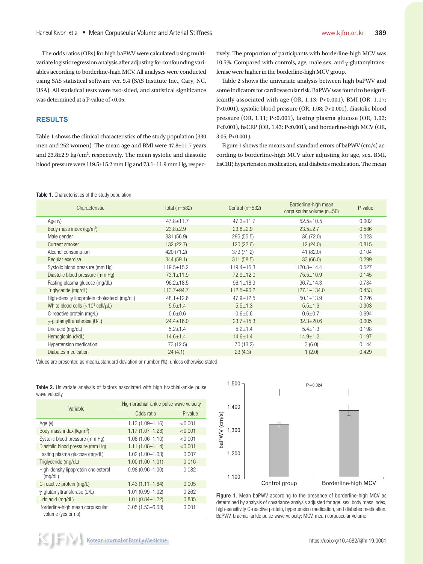The odds ratios (ORs) for high baPWV were calculated using multivariate logistic regression analysis after adjusting for confounding variables according to borderline-high MCV. All analyses were conducted using SAS statistical software ver. 9.4 (SAS Institute Inc., Cary, NC, USA). All statistical tests were two-sided, and statistical significance was determined at a P-value of <0.05.

## **RESULTS**

Table 1 shows the clinical characteristics of the study population (330 men and 252 women). The mean age and BMI were 47.8±11.7 years and  $23.8\pm2.9$  kg/cm<sup>2</sup>, respectively. The mean systolic and diastolic blood pressure were 119.5±15.2 mm Hg and 73.1±11.9 mm Hg, respec-

tively. The proportion of participants with borderline-high MCV was 10.5%. Compared with controls, age, male sex, and  $\gamma$ -glutamyltransferase were higher in the borderline-high MCV group.

Table 2 shows the univariate analysis between high baPWV and some indicators for cardiovascular risk. BaPWV was found to be significantly associated with age (OR, 1.13; P<0.001), BMI (OR, 1.17; P<0.001), systolic blood pressure (OR, 1.08; P<0.001), diastolic blood pressure (OR, 1.11; P<0.001), fasting plasma glucose (OR, 1.02; P<0.001), hsCRP (OR, 1.43; P<0.001), and borderline-high MCV (OR, 3.05; P<0.001).

Figure 1 shows the means and standard errors of baPWV (cm/s) according to borderline-high MCV after adjusting for age, sex, BMI, hsCRP, hypertension medication, and diabetes medication. The mean

Table 1. Characteristics of the study population

| Characteristic                                              | Total $(n=582)$  | Control $(n=532)$ | Borderline-high mean<br>corpuscular volume (n=50) | P-value |
|-------------------------------------------------------------|------------------|-------------------|---------------------------------------------------|---------|
| Age (y)                                                     | $47.8 \pm 11.7$  | $47.3 \pm 11.7$   | $52.5 \pm 10.5$                                   | 0.002   |
| Body mass index $(kg/m2)$                                   | $23.8 \pm 2.9$   | $23.8 \pm 2.9$    | $23.5 \pm 2.7$                                    | 0.586   |
| Male gender                                                 | 331 (56.9)       | 295 (55.5)        | 36 (72.0)                                         | 0.023   |
| Current smoker                                              | 132(22.7)        | 120(22.6)         | 12(24.0)                                          | 0.815   |
| Alcohol consumption                                         | 420 (71.2)       | 379 (71.2)        | 41 (82.0)                                         | 0.104   |
| Regular exercise                                            | 344(59.1)        | 311(58.5)         | 33(66.0)                                          | 0.299   |
| Systolic blood pressure (mm Hq)                             | $119.5 \pm 15.2$ | $119.4 \pm 15.3$  | $120.8 + 14.4$                                    | 0.527   |
| Diastolic blood pressure (mm Hg)                            | $73.1 \pm 11.9$  | $72.9 \pm 12.0$   | $75.5 \pm 10.9$                                   | 0.145   |
| Fasting plasma glucose (mg/dL)                              | $96.2 \pm 18.5$  | $96.1 \pm 18.9$   | $96.7 \pm 14.3$                                   | 0.784   |
| Triglyceride (mg/dL)                                        | $113.7 + 94.7$   | $112.5 \pm 90.2$  | $127.1 \pm 134.0$                                 | 0.453   |
| High-density lipoprotein cholesterol (mg/dL)                | $48.1 \pm 12.6$  | $47.9 \pm 12.5$   | $50.1 \pm 13.9$                                   | 0.226   |
| White blood cells ( $\times$ 10 <sup>3</sup> cell/ $\mu$ L) | $5.5 \pm 1.4$    | $5.5 \pm 1.3$     | $5.5 \pm 1.6$                                     | 0.903   |
| C-reactive protein (mq/L)                                   | $0.6 + 0.6$      | $0.6 + 0.6$       | $0.6 + 0.7$                                       | 0.694   |
| γ-glutamyltransferase (U/L)                                 | $24.4 \pm 16.0$  | $23.7 \pm 15.3$   | $32.3 \pm 20.6$                                   | 0.005   |
| Uric acid (mg/dL)                                           | $5.2 \pm 1.4$    | $5.2 \pm 1.4$     | $5.4 \pm 1.3$                                     | 0.198   |
| Hemoglobin (d/dL)                                           | $14.6 \pm 1.4$   | $14.6 \pm 1.4$    | $14.9 \pm 1.2$                                    | 0.197   |
| Hypertension medication                                     | 73 (12.5)        | 70 (13.2)         | 3(6.0)                                            | 0.144   |
| Diabetes medication                                         | 24(4.1)          | 23(4.3)           | 1(2.0)                                            | 0.429   |

Values are presented as mean±standard deviation or number (%), unless otherwise stated.

|               |  |  |  | <b>Table 2.</b> Univariate analysis of factors associated with high brachial-ankle pulse |  |
|---------------|--|--|--|------------------------------------------------------------------------------------------|--|
| wave velocity |  |  |  |                                                                                          |  |

| Variable                                               | High brachial-ankle pulse wave velocity |         |  |  |  |
|--------------------------------------------------------|-----------------------------------------|---------|--|--|--|
|                                                        | Odds ratio                              | P-value |  |  |  |
| Age $(y)$                                              | $1.13(1.09 - 1.16)$                     | < 0.001 |  |  |  |
| Body mass index (kg/m <sup>2</sup> )                   | $1.17(1.07 - 1.28)$                     | < 0.001 |  |  |  |
| Systolic blood pressure (mm Hq)                        | $1.08(1.06 - 1.10)$                     | < 0.001 |  |  |  |
| Diastolic blood pressure (mm Hq)                       | $1.11(1.08 - 1.14)$                     | < 0.001 |  |  |  |
| Fasting plasma glucose (mg/dL)                         | $1.02(1.00 - 1.03)$                     | 0.007   |  |  |  |
| Triglyceride (mg/dL)                                   | $1.00(1.00 - 1.01)$                     | 0.016   |  |  |  |
| High-density lipoprotein cholesterol<br>(mq/dL)        | $0.98(0.96 - 1.00)$                     | 0.082   |  |  |  |
| C-reactive protein (mg/L)                              | $1.43(1.11 - 1.84)$                     | 0.005   |  |  |  |
| $\gamma$ -glutamyltransferase (U/L)                    | $1.01(0.99 - 1.02)$                     | 0.262   |  |  |  |
| Uric acid (mg/dL)                                      | $1.01(0.84 - 1.22)$                     | 0.885   |  |  |  |
| Borderline-high mean corpuscular<br>volume (yes or no) | $3.05(1.53 - 6.08)$                     | 0.001   |  |  |  |



Figure 1. Mean baPWV according to the presence of borderline-high MCV as determined by analysis of covariance analysis adjusted for age, sex, body mass index, high-sensitivity C-reactive protein, hypertension medication, and diabetes medication. BaPWV, brachial-ankle pulse wave velocity; MCV, mean corpuscular volume.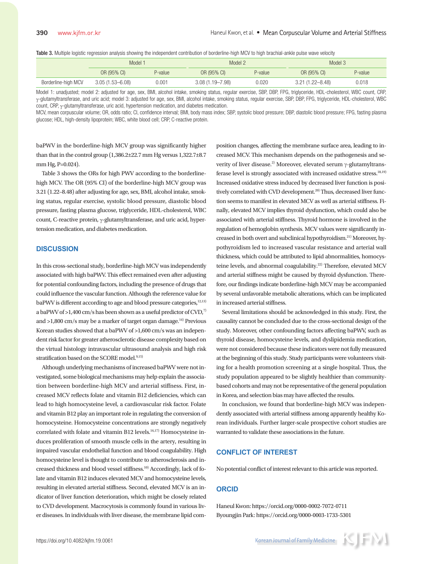Table 3. Multiple logistic regression analysis showing the independent contribution of borderline-high MCV to high brachial-ankle pulse wave velocity

|                     | Model :             |         | Model 2             |         | Model 3             |         |
|---------------------|---------------------|---------|---------------------|---------|---------------------|---------|
|                     | OR (95% CI)         | P-value | OR (95% CI)         | P-value | OR (95% CI)         | P-value |
| Borderline-high MCV | $3.05(1.53 - 6.08)$ | 0.001   | $3.08(1.19 - 7.98)$ | 0.020   | $3.21(1.22 - 8.48)$ | 0.018   |

Model 1: unadjusted; model 2: adjusted for age, sex, BMI, alcohol intake, smoking status, regular exercise, SBP, DBP, FPG, triglyceride, HDL-cholesterol, WBC count, CRP, γ-glutamyltransferase, and uric acid; model 3: adjusted for age, sex, BMI, alcohol intake, smoking status, regular exercise, SBP, DBP, FPG, triglyceride, HDL-cholesterol, WBC count, CRP, γ-glutamyltransferase, uric acid, hypertension medication, and diabetes medication.

MCV, mean corpuscular volume; OR, odds ratio; CI, confidence interval; BMI, body mass index; SBP, systolic blood pressure; DBP, diastolic blood pressure; FPG, fasting plasma glucose; HDL, high-density lipoprotein; WBC, white blood cell; CRP, C-reactive protein.

baPWV in the borderline-high MCV group was significantly higher than that in the control group (1,386.2±22.7 mm Hg versus 1,322.7±8.7 mm Hg, P=0.024).

Table 3 shows the ORs for high PWV according to the borderlinehigh MCV. The OR (95% CI) of the borderline-high MCV group was 3.21 (1.22–8.48) after adjusting for age, sex, BMI, alcohol intake, smoking status, regular exercise, systolic blood pressure, diastolic blood pressure, fasting plasma glucose, triglyceride, HDL-cholesterol, WBC count, C-reactive protein, γ-glutamyltransferase, and uric acid, hypertension medication, and diabetes medication.

## **DISCUSSION**

In this cross-sectional study, borderline-high MCV was independently associated with high baPWV. This effect remained even after adjusting for potential confounding factors, including the presence of drugs that could influence the vascular function. Although the reference value for baPWV is different according to age and blood pressure categories,<sup>12,13)</sup> a baPWV of  $>1,400$  cm/s has been shown as a useful predictor of CVD,<sup>7)</sup> and  $>1,800$  cm/s may be a marker of target organ damage.<sup>14)</sup> Previous Korean studies showed that a baPWV of >1,600 cm/s was an independent risk factor for greater atherosclerotic disease complexity based on the virtual histology intravascular ultrasound analysis and high risk stratification based on the SCORE model.<sup>9,15)</sup>

Although underlying mechanisms of increased baPWV were not investigated, some biological mechanisms may help explain the association between borderline-high MCV and arterial stiffness. First, increased MCV reflects folate and vitamin B12 deficiencies, which can lead to high homocysteine level, a cardiovascular risk factor. Folate and vitamin B12 play an important role in regulating the conversion of homocysteine. Homocysteine concentrations are strongly negatively correlated with folate and vitamin B12 levels.<sup>16,17)</sup> Homocysteine induces proliferation of smooth muscle cells in the artery, resulting in impaired vascular endothelial function and blood coagulability. High homocysteine level is thought to contribute to atherosclerosis and increased thickness and blood vessel stiffness.<sup>10)</sup> Accordingly, lack of folate and vitamin B12 induces elevated MCV and homocysteine levels, resulting in elevated arterial stiffness. Second, elevated MCV is an indicator of liver function deterioration, which might be closely related to CVD development. Macrocytosis is commonly found in various liver diseases. In individuals with liver disease, the membrane lipid com-

position changes, affecting the membrane surface area, leading to increased MCV. This mechanism depends on the pathogenesis and severity of liver disease.<sup>2)</sup> Moreover, elevated serum  $\gamma$ -glutamyltransferase level is strongly associated with increased oxidative stress. $18,19)$ Increased oxidative stress induced by decreased liver function is positively correlated with CVD development.<sup>20)</sup> Thus, decreased liver function seems to manifest in elevated MCV as well as arterial stiffness. Finally, elevated MCV implies thyroid dysfunction, which could also be associated with arterial stiffness. Thyroid hormone is involved in the regulation of hemoglobin synthesis. MCV values were significantly increased in both overt and subclinical hypothyroidism.21) Moreover, hypothyroidism led to increased vascular resistance and arterial wall thickness, which could be attributed to lipid abnormalities, homocysteine levels, and abnormal coagulability.<sup>22)</sup> Therefore, elevated MCV and arterial stiffness might be caused by thyroid dysfunction. Therefore, our findings indicate borderline-high MCV may be accompanied by several unfavorable metabolic alterations, which can be implicated in increased arterial stiffness.

Several limitations should be acknowledged in this study. First, the causality cannot be concluded due to the cross-sectional design of the study. Moreover, other confounding factors affecting baPWV, such as thyroid disease, homocysteine levels, and dyslipidemia medication, were not considered because these indicators were not fully measured at the beginning of this study. Study participants were volunteers visiting for a health promotion screening at a single hospital. Thus, the study population appeared to be slightly healthier than communitybased cohorts and may not be representative of the general population in Korea, and selection bias may have affected the results.

In conclusion, we found that borderline-high MCV was independently associated with arterial stiffness among apparently healthy Korean individuals. Further larger-scale prospective cohort studies are warranted to validate these associations in the future.

## **CONFLICT OF INTEREST**

No potential conflict of interest relevant to this article was reported.

## **ORCID**

Haneul Kwon: https://orcid.org/0000-0002-7072-0711 Byoungjin Park: https://orcid.org/0000-0003-1733-5301